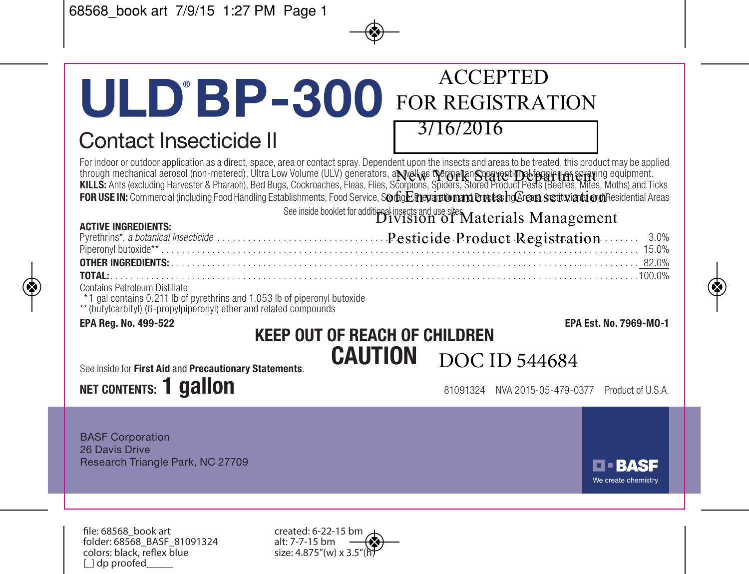## ACCEPTED **ULD'BP-300** FOR REGISTRATION

## Contact Insecticide II

#### 3/16/2016

For indoor or outdoor application as a direct, space, area or contact spray. Dependent upon the insects and areas to be treated, this product may be applied through mechanical aerosol (non-metered), Ultra Low Volume (ULV) generators, a**ւ well as the mail and separaty and a**<br>**KILLS:** Ants (excluding Harvester & Pharaoh), Bed Bugs, Cockroaches, Fleas, Flies, Scorpions, Spiders, FOR USE IN: Commercial (including Food Handling Establishments, Food Service, S**orbgE nevarition and Ent & h@enn settwartionn** Besidential Areas

See inside booklet for additional insects and use sites  $M$ aterials  $\,$ Management  $\,$ 

| <b>ACTIVE INGREDIENTS:</b> | Britolom of Mawrenten Mawrente |
|----------------------------|--------------------------------|
|                            |                                |
|                            |                                |
|                            |                                |
|                            |                                |

Contains Petroleum Distillate

\* 1 gal contains 0.211 lb of pyrethrins and 1.053 lb of piperonyl butoxide

\*\*(butylcarbityl) (6-propylpiperonyl) ether and related compounds

#### **EPA Reg. No. 499-522 EPA Est. No. 7969-MO-1 KEEP OUT OF REACH OF CHILDREN CAUTION** DOC ID 544684

See inside for **First Aid** and **Precautionary Statements**.

## **NET CONTENTS: 1 GAILON** 81091324 NVA 2015-05-479-0377 Product of U.S.A.

BASF Corporation 26 Davis Drive Research Triangle Park, NC 27709

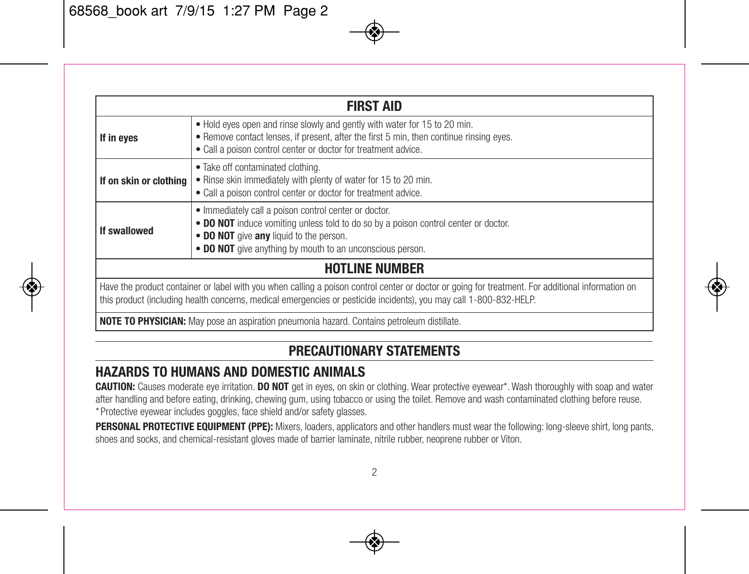| <b>FIRST AID</b>                                                                                                                                                                                                                                                        |                                                                                                                                                                                                                                                      |  |
|-------------------------------------------------------------------------------------------------------------------------------------------------------------------------------------------------------------------------------------------------------------------------|------------------------------------------------------------------------------------------------------------------------------------------------------------------------------------------------------------------------------------------------------|--|
| If in eyes                                                                                                                                                                                                                                                              | . Hold eyes open and rinse slowly and gently with water for 15 to 20 min.<br>. Remove contact lenses, if present, after the first 5 min, then continue rinsing eyes.<br>. Call a poison control center or doctor for treatment advice.               |  |
| If on skin or clothing                                                                                                                                                                                                                                                  | • Take off contaminated clothing.<br>. Rinse skin immediately with plenty of water for 15 to 20 min.<br>. Call a poison control center or doctor for treatment advice.                                                                               |  |
| If swallowed                                                                                                                                                                                                                                                            | . Immediately call a poison control center or doctor.<br>• DO NOT induce vomiting unless told to do so by a poison control center or doctor.<br>. DO NOT give any liquid to the person.<br>. DO NOT give anything by mouth to an unconscious person. |  |
| <b>HOTLINE NUMBER</b>                                                                                                                                                                                                                                                   |                                                                                                                                                                                                                                                      |  |
| Have the product container or label with you when calling a poison control center or doctor or going for treatment. For additional information on<br>this product (including health concerns, medical emergencies or pesticide incidents), you may call 1-800-832-HELP. |                                                                                                                                                                                                                                                      |  |
| <b>NOTE TO PHYSICIAN:</b> May pose an aspiration pneumonia hazard. Contains petroleum distillate.                                                                                                                                                                       |                                                                                                                                                                                                                                                      |  |

#### **PRECAUTIONARY STATEMENTS**

#### **HAZARDS TO HUMANS AND DOMESTIC ANIMALS**

**CAUTION:** Causes moderate eye irritation. **DO NOT** get in eyes, on skin or clothing. Wear protective eyewear\*. Wash thoroughly with soap and water after handling and before eating, drinking, chewing gum, using tobacco or using the toilet. Remove and wash contaminated clothing before reuse. \* Protective eyewear includes goggles, face shield and/or safety glasses.

**PERSONAL PROTECTIVE EQUIPMENT (PPE):** Mixers, loaders, applicators and other handlers must wear the following: long-sleeve shirt, long pants, shoes and socks, and chemical-resistant gloves made of barrier laminate, nitrile rubber, neoprene rubber or Viton.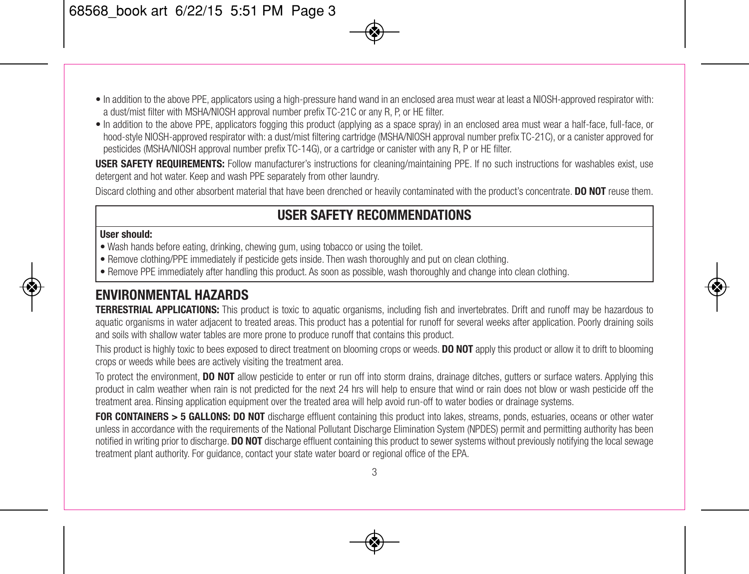- In addition to the above PPE, applicators using a high-pressure hand wand in an enclosed area must wear at least a NIOSH-approved respirator with: a dust/mist filter with MSHA/NIOSH approval number prefix TC-21C or any R, P, or HE filter.
- In addition to the above PPE, applicators fogging this product (applying as a space spray) in an enclosed area must wear a half-face, full-face, or hood-style NIOSH-approved respirator with: a dust/mist filtering cartridge (MSHA/NIOSH approval number prefix TC-21C), or a canister approved for pesticides (MSHA/NIOSH approval number prefix TC-14G), or a cartridge or canister with any R, P or HE filter.

**USER SAFETY REQUIREMENTS:** Follow manufacturer's instructions for cleaning/maintaining PPE. If no such instructions for washables exist, use detergent and hot water. Keep and wash PPE separately from other laundry.

Discard clothing and other absorbent material that have been drenched or heavily contaminated with the product's concentrate. **DO NOT** reuse them.

#### **USER SAFETY RECOMMENDATIONS**

#### **User should:**

- Wash hands before eating, drinking, chewing gum, using tobacco or using the toilet.
- Remove clothing/PPE immediately if pesticide gets inside. Then wash thoroughly and put on clean clothing.
- Remove PPE immediately after handling this product. As soon as possible, wash thoroughly and change into clean clothing.

#### **ENVIRONMENTAL HAZARDS**

**TERRESTRIAL APPLICATIONS:** This product is toxic to aquatic organisms, including fish and invertebrates. Drift and runoff may be hazardous to aquatic organisms in water adjacent to treated areas. This product has a potential for runoff for several weeks after application. Poorly draining soils and soils with shallow water tables are more prone to produce runoff that contains this product.

This product is highly toxic to bees exposed to direct treatment on blooming crops or weeds. **DO NOT** apply this product or allow it to drift to blooming crops or weeds while bees are actively visiting the treatment area.

To protect the environment, **DO NOT** allow pesticide to enter or run off into storm drains, drainage ditches, gutters or surface waters. Applying this product in calm weather when rain is not predicted for the next 24 hrs will help to ensure that wind or rain does not blow or wash pesticide off the treatment area. Rinsing application equipment over the treated area will help avoid run-off to water bodies or drainage systems.

**FOR CONTAINERS > 5 GALLONS: DO NOT** discharge effluent containing this product into lakes, streams, ponds, estuaries, oceans or other water unless in accordance with the requirements of the National Pollutant Discharge Elimination System (NPDES) permit and permitting authority has been notified in writing prior to discharge. **DO NOT** discharge effluent containing this product to sewer systems without previously notifying the local sewage treatment plant authority. For guidance, contact your state water board or regional office of the EPA.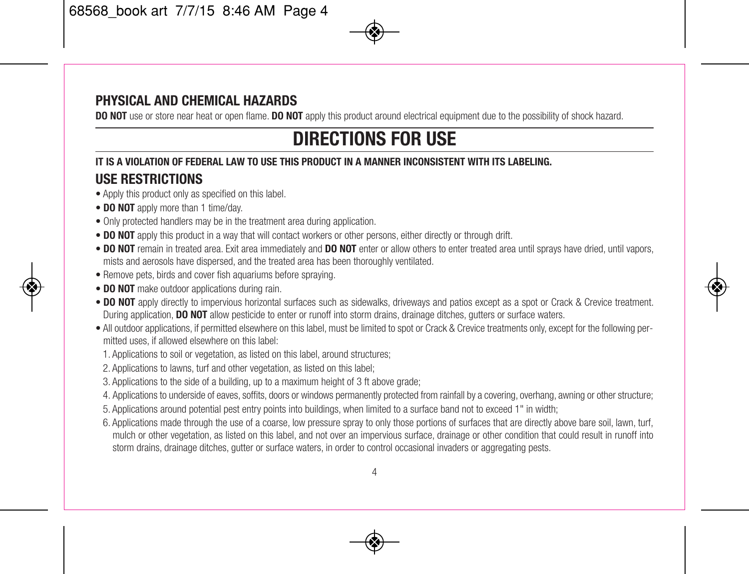#### **PHYSICAL AND CHEMICAL HAZARDS**

**DO** NOT use or store near heat or open flame. **DO** NOT apply this product around electrical equipment due to the possibility of shock hazard.

## **DIRECTIONS FOR USE**

#### **IT IS A VIOLATION OF FEDERAL LAW TO USE THIS PRODUCT IN A MANNER INCONSISTENT WITH ITS LABELING. USE RESTRICTIONS**

- Apply this product only as specified on this label.
- **DO NOT** apply more than 1 time/day.
- Only protected handlers may be in the treatment area during application.
- **DO NOT** apply this product in a way that will contact workers or other persons, either directly or through drift.
- **DO NOT** remain in treated area. Exit area immediately and **DO NOT** enter or allow others to enter treated area until sprays have dried, until vapors, mists and aerosols have dispersed, and the treated area has been thoroughly ventilated.
- Remove pets, birds and cover fish aquariums before spraying.
- **DO NOT** make outdoor applications during rain.
- **DO NOT** apply directly to impervious horizontal surfaces such as sidewalks, driveways and patios except as a spot or Crack & Crevice treatment. During application, **DO NOT** allow pesticide to enter or runoff into storm drains, drainage ditches, gutters or surface waters.
- All outdoor applications, if permitted elsewhere on this label, must be limited to spot or Crack & Crevice treatments only, except for the following permitted uses, if allowed elsewhere on this label:
	- 1. Applications to soil or vegetation, as listed on this label, around structures;
	- 2. Applications to lawns, turf and other vegetation, as listed on this label;
	- 3. Applications to the side of a building, up to a maximum height of 3 ft above grade;
	- 4. Applications to underside of eaves, soffits, doors or windows permanently protected from rainfall by a covering, overhang, awning or other structure;
	- 5. Applications around potential pest entry points into buildings, when limited to a surface band not to exceed 1" in width;
	- 6. Applications made through the use of a coarse, low pressure spray to only those portions of surfaces that are directly above bare soil, lawn, turf, mulch or other vegetation, as listed on this label, and not over an impervious surface, drainage or other condition that could result in runoff into storm drains, drainage ditches, gutter or surface waters, in order to control occasional invaders or aggregating pests.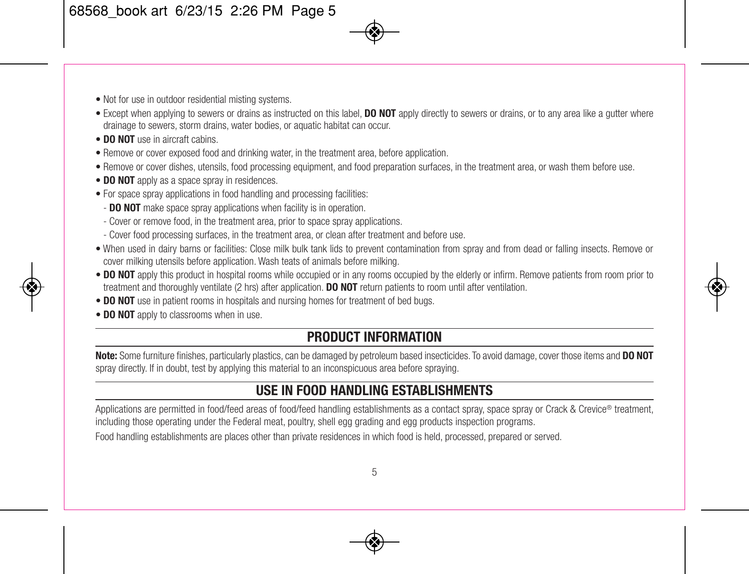- Not for use in outdoor residential misting systems.
- Except when applying to sewers or drains as instructed on this label, **DO NOT** apply directly to sewers or drains, or to any area like a gutter where drainage to sewers, storm drains, water bodies, or aquatic habitat can occur.
- **DO NOT** use in aircraft cabins.
- Remove or cover exposed food and drinking water, in the treatment area, before application.
- Remove or cover dishes, utensils, food processing equipment, and food preparation surfaces, in the treatment area, or wash them before use.
- **DO NOT** apply as a space spray in residences.
- For space spray applications in food handling and processing facilities:
	- **DO NOT** make space spray applications when facility is in operation.
	- Cover or remove food, in the treatment area, prior to space spray applications.
	- Cover food processing surfaces, in the treatment area, or clean after treatment and before use.
- When used in dairy barns or facilities: Close milk bulk tank lids to prevent contamination from spray and from dead or falling insects. Remove or cover milking utensils before application. Wash teats of animals before milking.
- **DO NOT** apply this product in hospital rooms while occupied or in any rooms occupied by the elderly or infirm. Remove patients from room prior to treatment and thoroughly ventilate (2 hrs) after application. **DO NOT** return patients to room until after ventilation.
- **DO NOT** use in patient rooms in hospitals and nursing homes for treatment of bed bugs.
- **DO NOT** apply to classrooms when in use.

#### **PRODUCT INFORMATION**

**Note:** Some furniture finishes, particularly plastics, can be damaged by petroleum based insecticides. To avoid damage, cover those items and **DO NOT** spray directly. If in doubt, test by applying this material to an inconspicuous area before spraying.

## **USE IN FOOD HANDLING ESTABLISHMENTS**

Applications are permitted in food/feed areas of food/feed handling establishments as a contact spray, space spray or Crack & Crevice® treatment, including those operating under the Federal meat, poultry, shell egg grading and egg products inspection programs.

Food handling establishments are places other than private residences in which food is held, processed, prepared or served.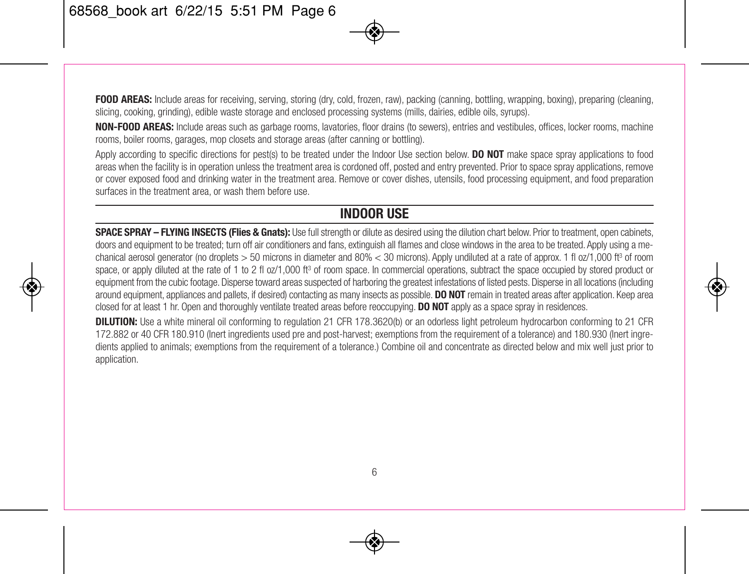**FOOD AREAS:** Include areas for receiving, serving, storing (dry, cold, frozen, raw), packing (canning, bottling, wrapping, boxing), preparing (cleaning, slicing, cooking, grinding), edible waste storage and enclosed processing systems (mills, dairies, edible oils, syrups).

**NON-FOOD AREAS:** Include areas such as garbage rooms, lavatories, floor drains (to sewers), entries and vestibules, offices, locker rooms, machine rooms, boiler rooms, garages, mop closets and storage areas (after canning or bottling).

Apply according to specific directions for pest(s) to be treated under the Indoor Use section below. **DO NOT** make space spray applications to food areas when the facility is in operation unless the treatment area is cordoned off, posted and entry prevented. Prior to space spray applications, remove or cover exposed food and drinking water in the treatment area. Remove or cover dishes, utensils, food processing equipment, and food preparation surfaces in the treatment area, or wash them before use.

#### **INDOOR USE**

**SPACE SPRAY – FLYING INSECTS (Flies & Gnats):** Use fullstrength or dilute as desired using the dilution chart below. Prior to treatment, open cabinets, doors and equipment to be treated; turn off air conditioners and fans, extinguish all flames and close windows in the area to be treated. Apply using a mechanical aerosol generator (no droplets > 50 microns in diameter and 80% < 30 microns). Apply undiluted at a rate of approx. 1 fl oz/1,000 ft<sup>3</sup> of room space, or apply diluted at the rate of 1 to 2 fl oz/1,000 ft<sup>3</sup> of room space. In commercial operations, subtract the space occupied by stored product or equipment from the cubic footage. Disperse toward areas suspected of harboring the greatest infestations of listed pests. Disperse in all locations (including around equipment, appliances and pallets, if desired) contacting as many insects as possible. **DO NOT** remain in treated areas after application. Keep area closed for at least 1 hr. Open and thoroughly ventilate treated areas before reoccupying. **DO NOT** apply as a space spray in residences.

**DILUTION:** Use a white mineral oil conforming to regulation 21 CFR 178.3620(b) or an odorless light petroleum hydrocarbon conforming to 21 CFR 172.882 or 40 CFR 180.910 (Inert ingredients used pre and post-harvest; exemptions from the requirement of a tolerance) and 180.930 (Inert ingredients applied to animals; exemptions from the requirement of a tolerance.) Combine oil and concentrate as directed below and mix well just prior to application.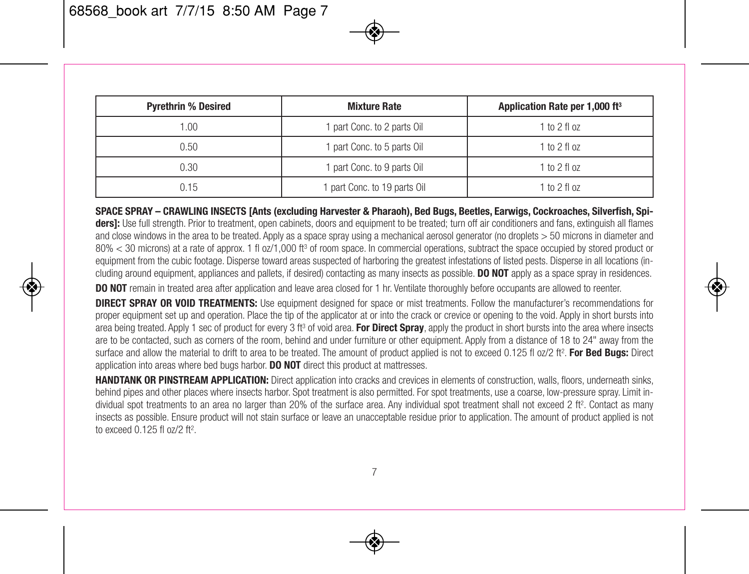| <b>Pyrethrin % Desired</b> | <b>Mixture Rate</b>         | Application Rate per 1,000 ft <sup>3</sup> |
|----------------------------|-----------------------------|--------------------------------------------|
| 1.00.                      | 1 part Conc. to 2 parts Oil | $1 to 2$ fl oz                             |
| 0.50                       | 1 part Conc. to 5 parts Oil | $1 to 2$ fl oz                             |
| 0.30                       | 1 part Conc. to 9 parts Oil | $1 to 2$ fl oz                             |
| 0.15                       | part Conc. to 19 parts Oil  | $1 to 2$ fl oz                             |

SPACE SPRAY - CRAWLING INSECTS [Ants (excluding Harvester & Pharaoh), Bed Bugs, Beetles, Earwigs, Cockroaches, Silverfish, Spidersit; Use full strength. Prior to treatment, open cabinets, doors and equipment to be treated; turn off air conditioners and fans, extinguish all flames and close windows in the area to be treated. Apply as a space spray using a mechanical aerosol generator (no droplets > 50 microns in diameter and 80% < 30 microns) at a rate of approx. 1 fl oz/1,000 ft<sup>3</sup> of room space. In commercial operations, subtract the space occupied by stored product or equipment from the cubic footage. Disperse toward areas suspected of harboring the greatest infestations of listed pests. Disperse in all locations (including around equipment, appliances and pallets, if desired) contacting as many insects as possible. **DO NOT** apply as a space spray in residences.

**DO NOT** remain in treated area after application and leave area closed for 1 hr. Ventilate thoroughly before occupants are allowed to reenter.

**DIRECT SPRAY OR VOID TREATMENTS:** Use equipment designed for space or mist treatments. Follow the manufacturer's recommendations for proper equipment set up and operation. Place the tip of the applicator at or into the crack or crevice or opening to the void. Apply in short bursts into area being treated. Apply 1 sec of product for every 3 ft <sup>3</sup> of void area. **For Direct Spray**, apply the product in short bursts into the area where insects are to be contacted, such as corners of the room, behind and under furniture or other equipment. Apply from a distance of 18 to 24" away from the surface and allow the material to drift to area to be treated. The amount of product applied is not to exceed 0.125 fl oz/2 ft 2. **For Bed Bugs:** Direct application into areas where bed bugs harbor. **DO NOT** direct this product at mattresses.

**HANDTANK OR PINSTREAM APPLICATION:** Direct application into cracks and crevices in elements of construction, walls, floors, underneath sinks, behind pipes and other places where insects harbor. Spot treatment is also permitted. For spot treatments, use a coarse, low-pressure spray. Limit individual spot treatments to an area no larger than 20% of the surface area. Any individual spot treatment shall not exceed 2 ft 2. Contact as many insects as possible. Ensure product will not stain surface or leave an unacceptable residue prior to application. The amount of product applied is not to exceed 0.125 fl oz/2 ft 2.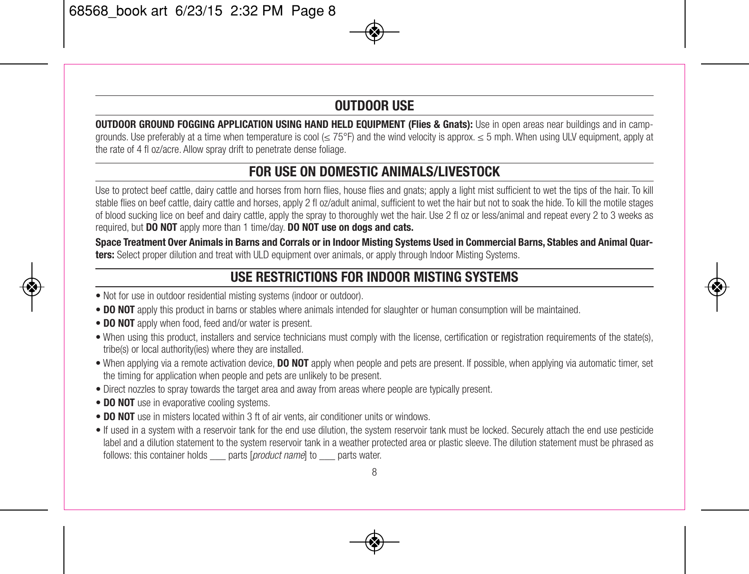#### **OUTDOOR USE**

**OUTDOOR GROUND FOGGING APPLICATION USING HAND HELD EQUIPMENT (Flies & Gnats):** Use in open areas near buildings and in campgrounds. Use preferably at a time when temperature is cool (≤ 75°F) and the wind velocity is approx. ≤ 5 mph. When using ULV equipment, apply at the rate of 4 fl oz/acre. Allow spray drift to penetrate dense foliage.

#### **FOR USE ON DOMESTIC ANIMALS/LIVESTOCK**

Use to protect beef cattle, dairy cattle and horses from horn flies, house flies and gnats; apply a light mist sufficient to wet the tips of the hair. To kill stable flies on beef cattle, dairy cattle and horses, apply 2 fl oz/adult animal, sufficient to wet the hair but not to soak the hide. To kill the motile stages of blood sucking lice on beef and dairy cattle, apply the spray to thoroughly wet the hair. Use 2 fl oz or less/animal and repeat every 2 to 3 weeks as required, but **DO NOT** apply more than 1 time/day. **DO NOT use on dogs and cats.**

Space Treatment Over Animals in Barns and Corrals or in Indoor Misting Systems Used in Commercial Barns, Stables and Animal Ouar**ters:** Select proper dilution and treat with ULD equipment over animals, or apply through Indoor Misting Systems.

## **USE RESTRICTIONS FOR INDOOR MISTING SYSTEMS**

- Not for use in outdoor residential misting systems (indoor or outdoor).
- **DO NOT** apply this product in barns or stables where animals intended for slaughter or human consumption will be maintained.
- **DO NOT** apply when food, feed and/or water is present.
- When using this product, installers and service technicians must comply with the license, certification or registration requirements of the state(s), tribe(s) or local authority(ies) where they are installed.
- When applying via a remote activation device, **DO NOT** apply when people and pets are present. If possible, when applying via automatic timer, set the timing for application when people and pets are unlikely to be present.
- Direct nozzles to spray towards the target area and away from areas where people are typically present.
- **DO NOT** use in evaporative cooling systems.
- **DO NOT** use in misters located within 3 ft of air vents, air conditioner units or windows.
- If used in a system with a reservoir tank for the end use dilution, the system reservoir tank must be locked. Securely attach the end use pesticide label and a dilution statement to the system reservoir tank in a weather protected area or plastic sleeve. The dilution statement must be phrased as follows: this container holds \_\_\_ parts [*product name*] to \_\_\_ parts water.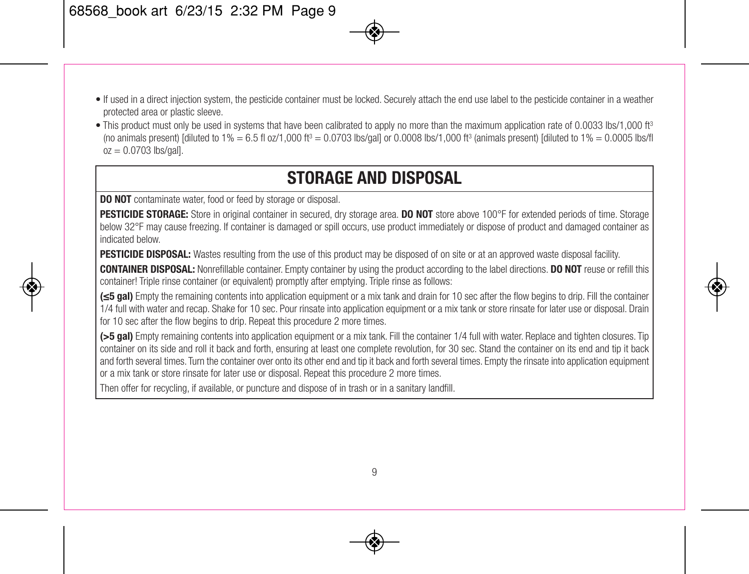- If used in a direct injection system, the pesticide container must be locked. Securely attach the end use label to the pesticide container in a weather protected area or plastic sleeve.
- This product must only be used in systems that have been calibrated to apply no more than the maximum application rate of 0.0033 lbs/1,000 ft<sup>3</sup> (no animals present) [diluted to 1% = 6.5 fl oz/1,000 ft <sup>3</sup> = 0.0703 lbs/gal] or 0.0008 lbs/1,000 ft <sup>3</sup> (animals present) [diluted to 1% = 0.0005 lbs/fl  $oz = 0.0703$  lbs/gall.

## **STORAGE AND DISPOSAL**

**DO NOT** contaminate water, food or feed by storage or disposal.

**PESTICIDE STORAGE:** Store in original container in secured, dry storage area. **DO NOT** store above 100°F for extended periods of time. Storage below 32°F may cause freezing. If container is damaged or spill occurs, use product immediately or dispose of product and damaged container as indicated below.

**PESTICIDE DISPOSAL:** Wastes resulting from the use of this product may be disposed of on site or at an approved waste disposal facility.

**CONTAINER DISPOSAL:** Nonrefillable container. Empty container by using the product according to the label directions. **DO NOT** reuse or refill this container! Triple rinse container (or equivalent) promptly after emptying. Triple rinse as follows:

**(≤5 gal)** Empty the remaining contents into application equipment or a mix tank and drain for 10 sec after the flow begins to drip. Fill the container 1/4 full with water and recap. Shake for 10 sec. Pour rinsate into application equipment or a mix tank or store rinsate for later use or disposal. Drain for 10 sec after the flow begins to drip. Repeat this procedure 2 more times.

**(>5 gal)** Empty remaining contents into application equipment or a mix tank. Fill the container 1/4 full with water. Replace and tighten closures. Tip container on its side and roll it back and forth, ensuring at least one complete revolution, for 30 sec. Stand the container on its end and tip it back and forth several times. Turn the container over onto its other end and tip it back and forth several times. Empty the rinsate into application equipment or a mix tank or store rinsate for later use or disposal. Repeat this procedure 2 more times.

Then offer for recycling, if available, or puncture and dispose of in trash or in a sanitary landfill.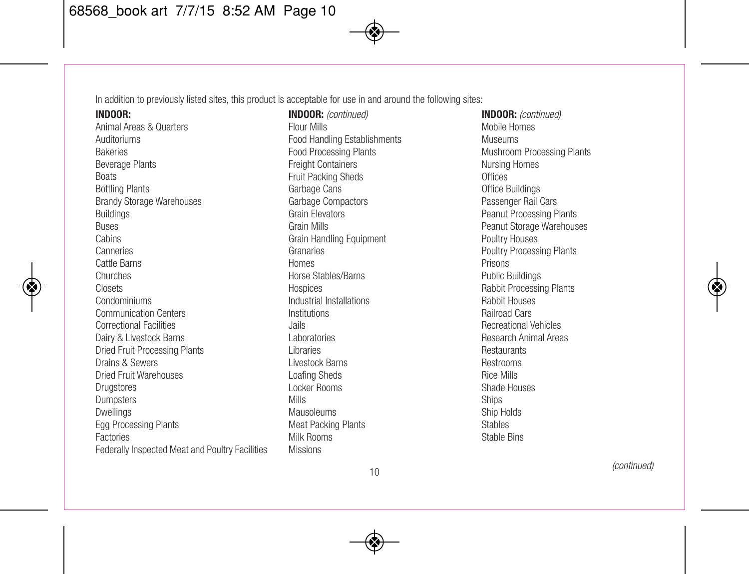In addition to previously listed sites, this product is acceptable for use in and around the following sites:

**INDOOR:**

Animal Areas & Quarters Auditoriums Bakeries Beverage Plants **Boats** Bottling Plants Brandy Storage Warehouses Buildings Buses Cabins Canneries Cattle Barns Churches **Closets** Condominiums Communication Centers Correctional Facilities Dairy & Livestock Barns Dried Fruit Processing Plants Drains & Sewers Dried Fruit Warehouses **Drugstores** Dumpsters **Dwellings** Egg Processing Plants Factories Federally Inspected Meat and Poultry Facilities

**INDOOR:** *(continued)* Flour Mills Food Handling Establishments Food Processing Plants Freight Containers Fruit Packing Sheds Garbage Cans Garbage Compactors Grain Elevators Grain Mills Grain Handling Equipment Granaries Homes Horse Stables/Barns **Hospices** Industrial Installations Institutions Jails Laboratories Libraries Livestock Barns Loafing Sheds Locker Rooms Mills Mausoleums Meat Packing Plants Milk Rooms Missions

**INDOOR:** *(continued)* Mobile Homes Museums Mushroom Processing Plants Nursing Homes **Offices** Office Buildings Passenger Rail Cars Peanut Processing Plants Peanut Storage Warehouses Poultry Houses Poultry Processing Plants Prisons Public Buildings Rabbit Processing Plants Rabbit Houses Railroad Cars Recreational Vehicles Research Animal Areas Restaurants Restrooms Rice Mills Shade Houses Ships Ship Holds Stables Stable Bins

*(continued)*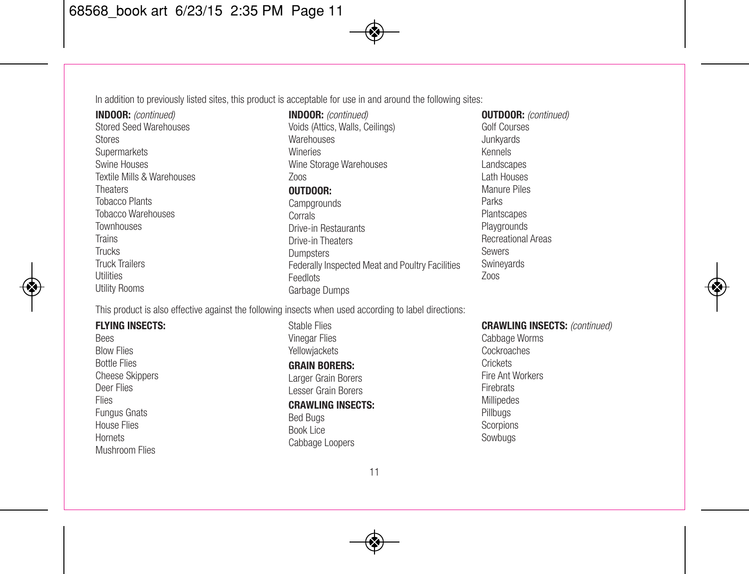In addition to previously listed sites, this product is acceptable for use in and around the following sites:

**INDOOR:** *(continued)* Stored Seed Warehouses Stores **Supermarkets** Swine Houses Textile Mills & Warehouses Theaters Tobacco Plants Tobacco Warehouses **Townhouses** Trains Trucks Truck Trailers Utilities Utility Rooms

**INDOOR:** *(continued)* Voids (Attics, Walls, Ceilings) **Warehouses** Wineries Wine Storage Warehouses Zoos **OUTDOOR:**

**Campgrounds** Corrals Drive-in Restaurants Drive-in Theaters Dumpsters Federally Inspected Meat and Poultry Facilities **Feedlots** Garbage Dumps

**OUTDOOR:** *(continued)* Golf Courses Junkyards Kennels Landscapes Lath Houses Manure Piles Parks **Plantscapes Playgrounds** Recreational Areas Sewers **Swinevards** Zoos

This product is also effective against the following insects when used according to label directions:

**FLYING INSECTS: Bees** Blow Flies Bottle Flies Cheese Skippers Deer Flies Flies Fungus Gnats House Flies Hornets Mushroom Flies

Stable Flies Vinegar Flies Yellowjackets **GRAIN BORERS:** Larger Grain Borers Lesser Grain Borers **CRAWLING INSECTS:** Bed Bugs Book Lice Cabbage Loopers

#### **CRAWLING INSECTS:** *(continued)*

Cabbage Worms Cockroaches **Crickets** Fire Ant Workers Firebrats Millipedes Pillbugs **Scorpions** Sowbugs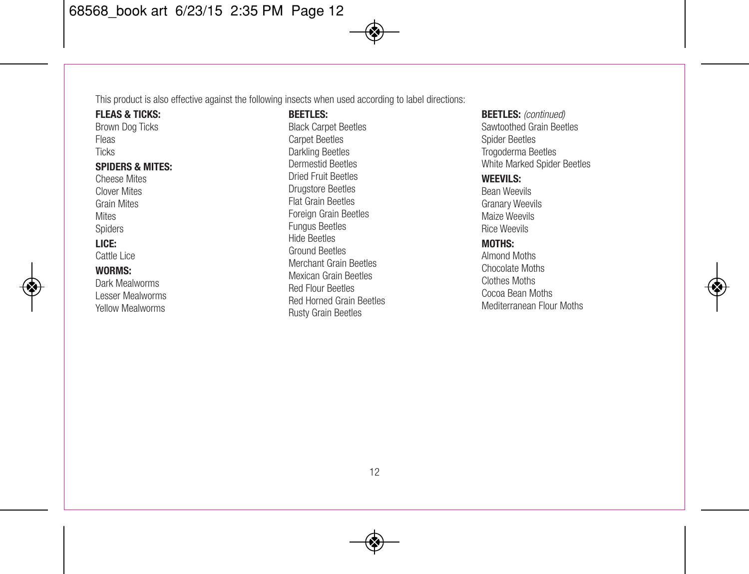This product is also effective against the following insects when used according to label directions:

**FLEAS & TICKS:** Brown Dog Ticks Fleas **Ticks SPIDERS & MITES:** Cheese Mites Clover Mites Grain Mites **Mites** Spiders **LICE:** Cattle Lice **WORMS:** Dark Mealworms

Lesser Mealworms Yellow Mealworms

**BEETLES:** Black Carpet Beetles Carpet Beetles Darkling Beetles Dermestid Beetles Dried Fruit Beetles Drugstore Beetles Flat Grain Beetles Foreign Grain Beetles Fungus Beetles Hide Beetles Ground Beetles Merchant Grain Beetles Mexican Grain Beetles Red Flour Beetles Red Horned Grain Beetles Rusty Grain Beetles

**BEETLES:** *(continued)* Sawtoothed Grain Beetles Spider Beetles Trogoderma Beetles White Marked Spider Beetles

#### **WEEVILS:**

Bean Weevils Granary Weevils Maize Weevils Rice Weevils

#### **MOTHS:**

Almond Moths Chocolate Moths Clothes Moths Cocoa Bean Moths Mediterranean Flour Moths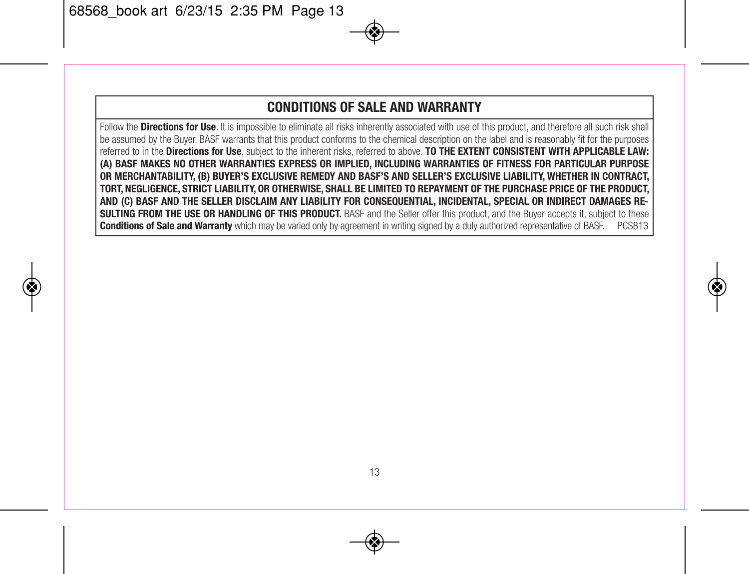#### **CONDITIONS OF SALE AND WARRANTY**

Follow the **Directions for Use**. It is impossible to eliminate all risks inherently associated with use of this product, and therefore all such risk shall be assumed by the Buyer. BASF warrants that this product conforms to the chemical description on the label and is reasonably fit for the purposes referred to in the **Directions for Use**, subject to the inherent risks, referred to above. **TO THE EXTENT CONSISTENT WITH APPLICABLE LAW: (A) BASF MAKES NO OTHER WARRANTIES EXPRESS OR IMPLIED, INCLUDING WARRANTIES OF FITNESS FOR PARTICULAR PURPOSE OR MERCHANTABILITY, (B) BUYER'S EXCLUSIVE REMEDY AND BASF'S AND SELLER'S EXCLUSIVE LIABILITY, WHETHER IN CONTRACT,** TORT, NEGLIGENCE, STRICT LIABILITY, OR OTHERWISE, SHALL BE LIMITED TO REPAYMENT OF THE PURCHASE PRICE OF THE PRODUCT, AND (C) BASF AND THE SELLER DISCLAIM ANY LIABILITY FOR CONSEQUENTIAL, INCIDENTAL, SPECIAL OR INDIRECT DAMAGES RE-**SULTING FROM THE USE OR HANDLING OF THIS PRODUCT.** BASF and the Seller offer this product, and the Buyer accepts it, subject to these **Conditions of Sale and Warranty** which may be varied only by agreement in writing signed by a duly authorized representative of BASF. PCS813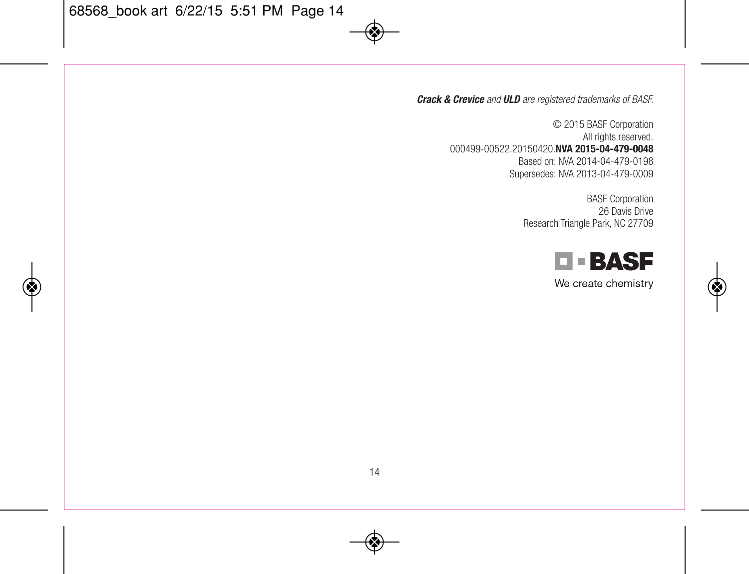*Crack & Crevice and ULD are registered trademarks of BASF.*

© 2015 BASF Corporation All rights reserved. 000499-00522.20150420.**NVA 2015-04-479-0048** Based on: NVA 2014-04-479-0198 Supersedes: NVA 2013-04-479-0009

> BASF Corporation 26 Davis Drive Research Triangle Park, NC 27709



We create chemistry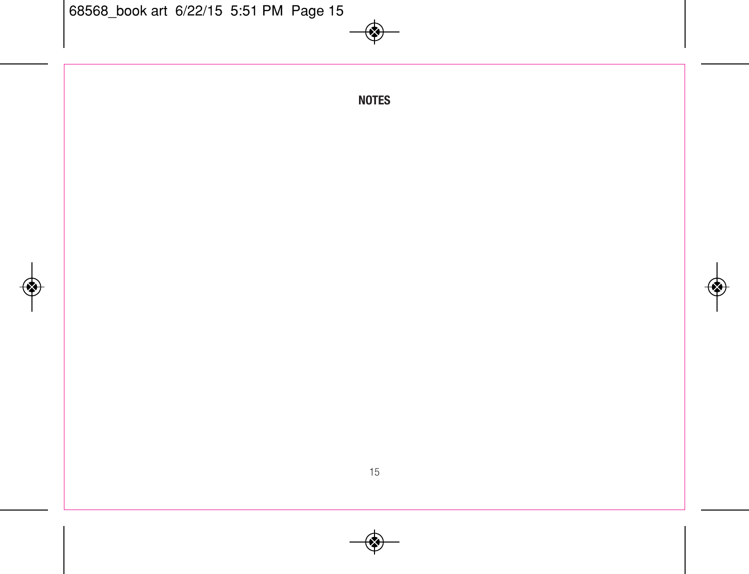**NOTES**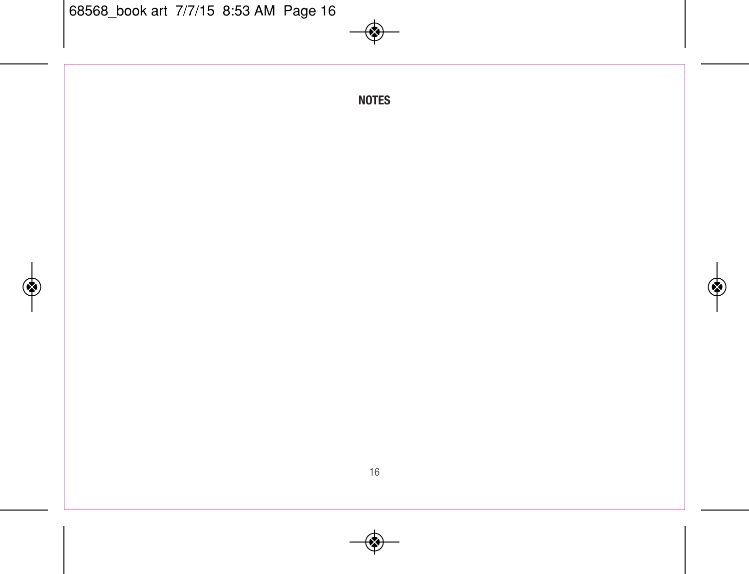**NOTES**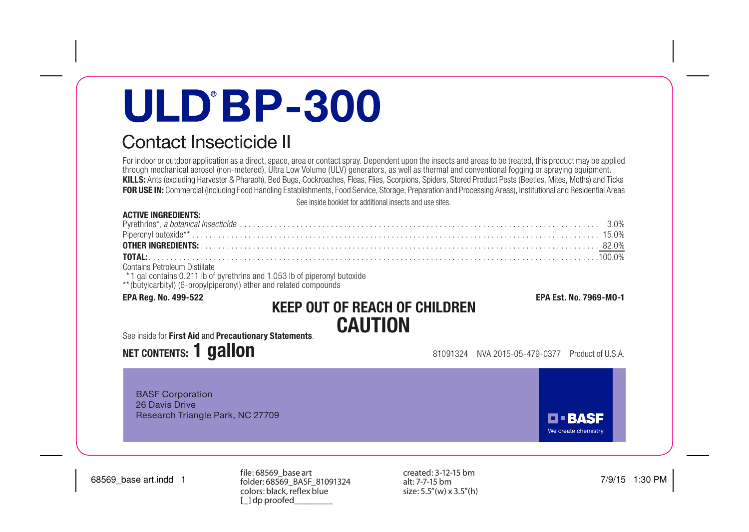# **ULD BP-300**

# Contact Insecticide II

For indoor or outdoor application as a direct, space, area or contact spray. Dependent upon the insects and areas to be treated, this product may be applied through mechanical aerosol (non-metered), Ultra Low Volume (ULV) generators, as well as thermal and conventional fogging or spraying equipment. KILLS: Ants (excluding Harvester & Pharaoh), Bed Bugs, Cockroaches, Fleas, Flies, Scorpions, Spiders, Stored Product Pests (Beetles, Mites, Moths) and Ticks FOR USE IN: Commercial (including Food Handling Establishments, Food Service, Storage, Preparation and Processing Areas), Institutional and Residential Areas See inside booklet for additional insects and use sites.

#### ACTIVE INGREDIENTS:

| $A \cup B \cup B \cup C$ and $B \cup C$ |  |
|-----------------------------------------|--|

Contains Petroleum Distillate<br>\* 1 gal contains 0.211 lb of pyrethrins and 1.053 lb of piperonyl butoxide

\*\* (butylcarbityl) (6-propylpiperonyl) ether and related compounds

## EPA Reg. No. 499-522 EPA Est. No. 7969-MO-1 KEEP OUT OF REACH OF CHILDREN CAUTION

#### See inside for First Aid and Precautionary Statements.

# **NET CONTENTS: 1 GAILON** 81091324 NVA 2015-05-479-0377 Product of U.S.A.

BASF Corporation 26 Davis Drive Research Triangle Park, NC 27709